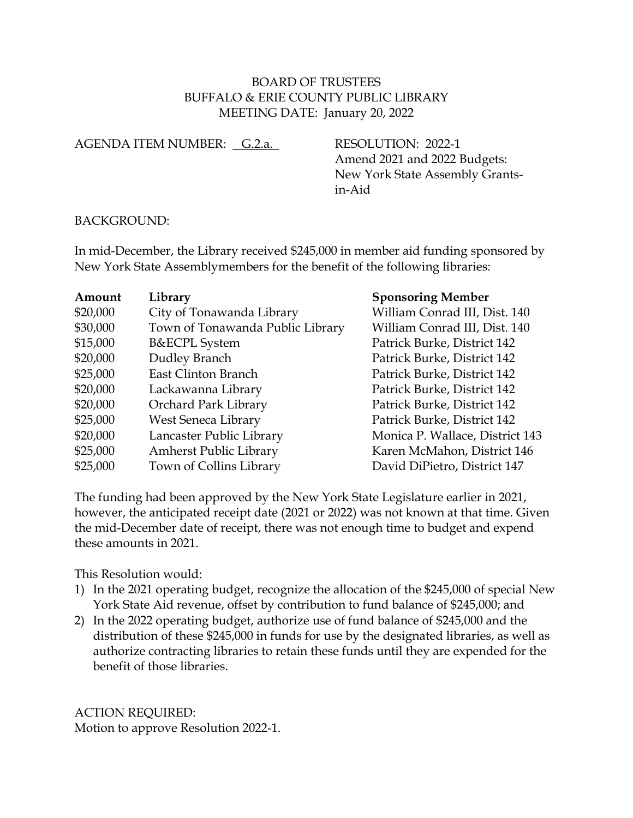## BOARD OF TRUSTEES BUFFALO & ERIE COUNTY PUBLIC LIBRARY MEETING DATE: January 20, 2022

AGENDA ITEM NUMBER: G.2.a. RESOLUTION: 2022-1

Amend 2021 and 2022 Budgets: New York State Assembly Grantsin-Aid

## BACKGROUND:

In mid-December, the Library received \$245,000 in member aid funding sponsored by New York State Assemblymembers for the benefit of the following libraries:

| Amount   | Library                          | <b>Sponsoring Member</b>        |
|----------|----------------------------------|---------------------------------|
| \$20,000 | City of Tonawanda Library        | William Conrad III, Dist. 140   |
| \$30,000 | Town of Tonawanda Public Library | William Conrad III, Dist. 140   |
| \$15,000 | <b>B&amp;ECPL</b> System         | Patrick Burke, District 142     |
| \$20,000 | Dudley Branch                    | Patrick Burke, District 142     |
| \$25,000 | East Clinton Branch              | Patrick Burke, District 142     |
| \$20,000 | Lackawanna Library               | Patrick Burke, District 142     |
| \$20,000 | Orchard Park Library             | Patrick Burke, District 142     |
| \$25,000 | West Seneca Library              | Patrick Burke, District 142     |
| \$20,000 | Lancaster Public Library         | Monica P. Wallace, District 143 |
| \$25,000 | <b>Amherst Public Library</b>    | Karen McMahon, District 146     |
| \$25,000 | Town of Collins Library          | David DiPietro, District 147    |

The funding had been approved by the New York State Legislature earlier in 2021, however, the anticipated receipt date (2021 or 2022) was not known at that time. Given the mid-December date of receipt, there was not enough time to budget and expend these amounts in 2021.

This Resolution would:

- 1) In the 2021 operating budget, recognize the allocation of the \$245,000 of special New York State Aid revenue, offset by contribution to fund balance of \$245,000; and
- 2) In the 2022 operating budget, authorize use of fund balance of \$245,000 and the distribution of these \$245,000 in funds for use by the designated libraries, as well as authorize contracting libraries to retain these funds until they are expended for the benefit of those libraries.

ACTION REQUIRED: Motion to approve Resolution 2022-1.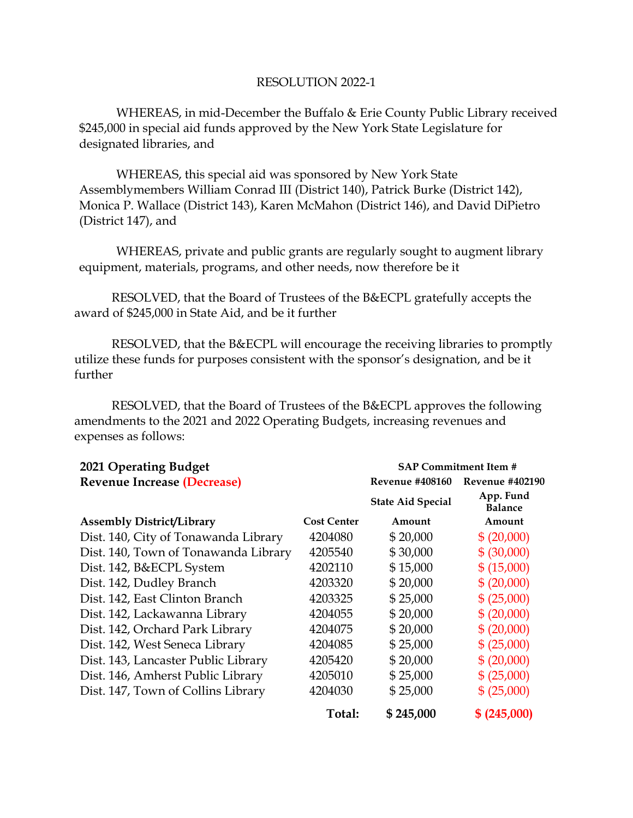## RESOLUTION 2022-1

WHEREAS, in mid-December the Buffalo & Erie County Public Library received \$245,000 in special aid funds approved by the New York State Legislature for designated libraries, and

WHEREAS, this special aid was sponsored by New York State Assemblymembers William Conrad III (District 140), Patrick Burke (District 142), Monica P. Wallace (District 143), Karen McMahon (District 146), and David DiPietro (District 147), and

WHEREAS, private and public grants are regularly sought to augment library equipment, materials, programs, and other needs, now therefore be it

RESOLVED, that the Board of Trustees of the B&ECPL gratefully accepts the award of \$245,000 in State Aid, and be it further

RESOLVED, that the B&ECPL will encourage the receiving libraries to promptly utilize these funds for purposes consistent with the sponsor's designation, and be it further

RESOLVED, that the Board of Trustees of the B&ECPL approves the following amendments to the 2021 and 2022 Operating Budgets, increasing revenues and expenses as follows:

| 2021 Operating Budget                | <b>SAP Commitment Item #</b> |                          |                             |
|--------------------------------------|------------------------------|--------------------------|-----------------------------|
| <b>Revenue Increase (Decrease)</b>   |                              | <b>Revenue #408160</b>   | Revenue #402190             |
|                                      |                              | <b>State Aid Special</b> | App. Fund<br><b>Balance</b> |
| <b>Assembly District/Library</b>     | Cost Center                  | Amount                   | Amount                      |
| Dist. 140, City of Tonawanda Library | 4204080                      | \$20,000                 | \$ (20,000)                 |
| Dist. 140, Town of Tonawanda Library | 4205540                      | \$30,000                 | \$ (30,000)                 |
| Dist. 142, B&ECPL System             | 4202110                      | \$15,000                 | \$ (15,000)                 |
| Dist. 142, Dudley Branch             | 4203320                      | \$20,000                 | \$ (20,000)                 |
| Dist. 142, East Clinton Branch       | 4203325                      | \$25,000                 | \$ (25,000)                 |
| Dist. 142, Lackawanna Library        | 4204055                      | \$20,000                 | \$ (20,000)                 |
| Dist. 142, Orchard Park Library      | 4204075                      | \$20,000                 | \$ (20,000)                 |
| Dist. 142, West Seneca Library       | 4204085                      | \$25,000                 | \$ (25,000)                 |
| Dist. 143, Lancaster Public Library  | 4205420                      | \$20,000                 | \$ (20,000)                 |
| Dist. 146, Amherst Public Library    | 4205010                      | \$25,000                 | \$ (25,000)                 |
| Dist. 147, Town of Collins Library   | 4204030                      | \$25,000                 | \$ (25,000)                 |
|                                      | Total:                       | \$245,000                | \$ (245,000)                |